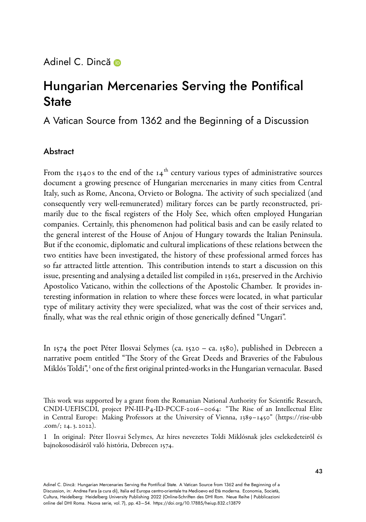## Adinel C. Dinc[ă](https://orcid.org/0000-0001-5817-815X) **D**

## Hungarian Mercenaries Serving the Pontifical **State**

A Vatican Source from 1362 and the Beginning of a Discussion

## Abstract

From the 1340s to the end of the  $14<sup>th</sup>$  century various types of administrative sources document a growing presence of Hungarian mercenaries in many cities from Central Italy, such as Rome, Ancona, Orvieto or Bologna. The activity of such specialized (and consequently very well-remunerated) military forces can be partly reconstructed, primarily due to the fiscal registers of the Holy See, which often employed Hungarian companies. Certainly, this phenomenon had political basis and can be easily related to the general interest of the House of Anjou of Hungary towards the Italian Peninsula. But if the economic, diplomatic and cultural implications of these relations between the two entities have been investigated, the history of these professional armed forces has so far attracted little attention. This contribution intends to start a discussion on this issue, presenting and analysing a detailed list compiled in 1362, preserved in the Archivio Apostolico Vaticano, within the collections of the Apostolic Chamber. It provides interesting information in relation to where these forces were located, in what particular type of military activity they were specialized, what was the cost of their services and, finally, what was the real ethnic origin of those generically defined "Ungari".

In 1574 the poet Péter Ilosvai Selymes (ca. 1520 – ca. 1580), published in Debrecen a narrative poem entitled "The Story of the Great Deeds and Braveries of the Fabulous Miklós Toldi",<sup>1</sup> one of the first original printed-works in the Hungarian vernacular. Based

This work was supported by a grant from the Romanian National Authority for Scientific Research, CNDI-UEFISCDI, project PN-III-P4-ID-PCCF-2016–0064: "The Rise of an Intellectual Elite inCentral Europe: Making Professors at the University of Vienna, 1389–1450" (https://rise-ubb [.com/;](https://rise-ubb.com/) 14. 3. 2022).

<sup>1</sup> In original: Péter Ilosvai Selymes, Az híres nevezetes Toldi Miklósnak jeles cselekedeteiről és bajnokosodásáról való história, Debrecen 1574.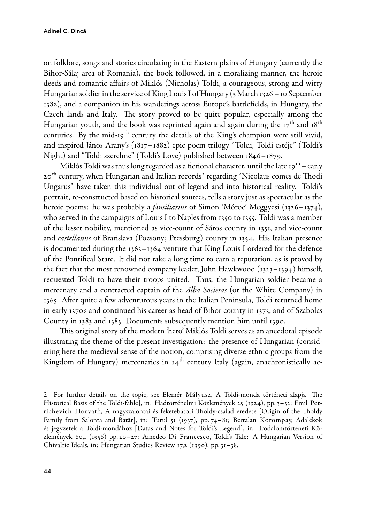on folklore, songs and stories circulating in the Eastern plains of Hungary (currently the Bihor-Sălaj area of Romania), the book followed, in a moralizing manner, the heroic deeds and romantic affairs of Miklós (Nicholas) Toldi, a courageous, strong and witty Hungarian soldier in the service of King Louis I of Hungary (5March 1326 – 10 September 1382), and a companion in his wanderings across Europe's battlefields, in Hungary, the Czech lands and Italy. The story proved to be quite popular, especially among the Hungarian youth, and the book was reprinted again and again during the  $17<sup>th</sup>$  and  $18<sup>th</sup>$ centuries. By the mid-19<sup>th</sup> century the details of the King's champion were still vivid, and inspired János Arany's (1817–1882) epic poem trilogy "Toldi, Toldi estéje" (Toldi's Night) and "Toldi szerelme" (Toldi's Love) published between 1846–1879.

Miklós Toldi was thus long regarded as a fictional character, until the late 19<sup>th</sup> – early 20<sup>th</sup> century, when Hungarian and Italian records<sup>2</sup> regarding "Nicolaus comes de Thodi Ungarus" have taken this individual out of legend and into historical reality. Toldi's portrait, re-constructed based on historical sources, tells a story just as spectacular as the heroic poems: he was probably a *familiarius* of Simon 'Móroc' Meggyesi (1326–1374), who served in the campaigns of Louis I to Naples from 1350 to 1355. Toldi was a member of the lesser nobility, mentioned as vicecount of Sáros county in 1351, and vicecount and *castellanus* of Bratislava (Pozsony; Pressburg) county in 1354. His Italian presence is documented during the 1363–1364 venture that King Louis I ordered for the defence of the Pontifical State. It did not take a long time to earn a reputation, as is proved by the fact that the most renowned company leader, John Hawkwood ( $_{1323}-_{1394}$ ) himself, requested Toldi to have their troops united. Thus, the Hungarian soldier became a mercenary and a contracted captain of the *Alba Societas* (or the White Company) in 1365. After quite a few adventurous years in the Italian Peninsula, Toldi returned home in early 1370 s and continued his career as head of Bihor county in 1375, and of Szabolcs County in 1383 and 1385. Documents subsequently mention him until 1390.

This original story of the modern 'hero' Miklós Toldi serves as an anecdotal episode illustrating the theme of the present investigation: the presence of Hungarian (considering here the medieval sense of the notion, comprising diverse ethnic groups from the Kingdom of Hungary) mercenaries in  $14<sup>th</sup>$  century Italy (again, anachronistically ac-

<sup>2</sup> For further details on the topic, see Elemér Mályusz, A Toldimonda történeti alapja [The Historical Basis of the Toldi-fable], in: Hadtörténelmi Közlemények 25 (1924), pp. 3-32; Emil Petrichevich Horváth, A nagyszalontai és feketebátori Tholdycsalád eredete [Origin of the Tholdy Family from Salonta and Batăr], in: Turul 51 (1937), pp. 74–81; Bertalan Korompay, Adalékok és jegyzetek a Toldimondához [Datas and Notes for Toldi's Legend], in: Irodalomtörténeti Közlemények 60,1 (1956) pp. 20–27; Amedeo Di Francesco, Toldi's Tale: A Hungarian Version of Chivalric Ideals, in: Hungarian Studies Review 17,2 (1990), pp. 31–38.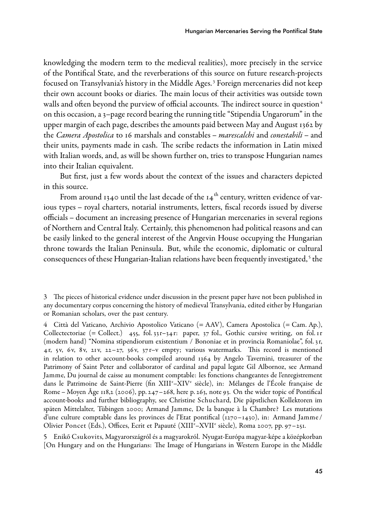knowledging the modern term to the medieval realities), more precisely in the service of the Pontifical State, and the reverberations of this source on future research-projects focused on Transylvania's history in the Middle Ages. <sup>3</sup> Foreign mercenaries did not keep their own account books or diaries. The main locus of their activities was outside town walls and often beyond the purview of official accounts. The indirect source in question<sup>4</sup> on this occasion, a 3–page record bearing the running title "Stipendia Ungarorum" in the upper margin of each page, describes the amounts paid between May and August 1362 by the Camera Apostolica to 16 marshals and constables – marescalchi and conestabili – and their units, payments made in cash. The scribe redacts the information in Latin mixed with Italian words, and, as will be shown further on, tries to transpose Hungarian names into their Italian equivalent.

But first, just a few words about the context of the issues and characters depicted in this source.

From around 1340 until the last decade of the  $14<sup>th</sup>$  century, written evidence of various types – royal charters, notarial instruments, letters, fiscal records issued by diverse officials – document an increasing presence of Hungarian mercenaries in several regions of Northern and Central Italy. Certainly, this phenomenon had political reasons and can be easily linked to the general interest of the Angevin House occupying the Hungarian throne towards the Italian Peninsula. But, while the economic, diplomatic or cultural consequences of these Hungarian-Italian relations have been frequently investigated, <sup>5</sup> the

4 Città del Vaticano, Archivio Apostolico Vaticano (= AAV), Camera Apostolica (= Cam. Ap.), Collectectoriae (= Collect.)  $455$ , fol.  $33r-34r$ : paper,  $37$  fol., Gothic cursive writing, on fol. 1r (modern hand) "Nomina stipendiorum existentium / Bononiae et in provincia Romaniolae", fol. 3r, 4r, 5v, 6v, 8v, 21v, 22–27, 36v, 37r–v empty; various watermarks. This record is mentioned in relation to other account-books compiled around  $1364$  by Angelo Tavernini, treasurer of the Patrimony of Saint Peter and collaborator of cardinal and papal legate Gil Albornoz, see Armand Jamme, Du journal de caisse au monument comptable: les fonctions changeantes de l'enregistrement dans le Patrimoine de Saint-Pierre (fin XIII°–XIV° siècle), in: Mélanges de l'École française de Rome – Moyen Âge 118,2 (2006), pp. 247–268, here p. 263, note 93. On the wider topic of Pontifical account-books and further bibliography, see Christine Schuchard, Die päpstlichen Kollektoren im späten Mittelalter, Tübingen 2000; Armand Jamme, De la banque à la Chambre? Les mutations d'une culture comptable dans les provinces de l'Etat pontifical (1270–1430), in: Armand Jamme / Olivier Poncet (Eds.), Offices, Ecrit et Papauté (XIII<sup>e</sup>–XVII<sup>e</sup> siècle), Roma 2007, pp. 97–251.

5 Enikő Csukovits, Magyarországról és a magyarokról. Nyugat-Európa magyar-képe a középkorban [On Hungary and on the Hungarians: The Image of Hungarians in Western Europe in the Middle

<sup>3</sup> The pieces of historical evidence under discussion in the present paper have not been published in any documentary corpus concerning the history of medieval Transylvania, edited either by Hungarian or Romanian scholars, over the past century.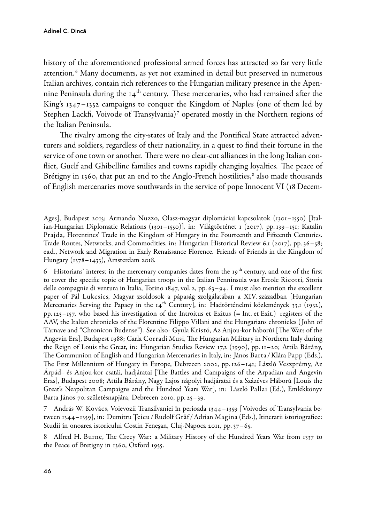history of the aforementioned professional armed forces has attracted so far very little attention. <sup>6</sup> Many documents, as yet not examined in detail but preserved in numerous Italian archives, contain rich references to the Hungarian military presence in the Apennine Peninsula during the  $14<sup>th</sup>$  century. These mercenaries, who had remained after the King's 1347–1352 campaigns to conquer the Kingdom of Naples (one of them led by Stephen Lackfi, Voivode of Transylvania)<sup>7</sup> operated mostly in the Northern regions of the Italian Peninsula.

The rivalry among the city-states of Italy and the Pontifical State attracted adventurers and soldiers, regardless of their nationality, in a quest to find their fortune in the service of one town or another. There were no clear-cut alliances in the long Italian conflict, Guelf and Ghibelline families and towns rapidly changing loyalties. The peace of Brétigny in 1360, that put an end to the Anglo-French hostilities,<sup>8</sup> also made thousands of English mercenaries move southwards in the service of pope Innocent VI (18 Decem-

Ages], Budapest 2015; Armando Nuzzo, Olasz-magyar diplomáciai kapcsolatok (1301–1550) [ItalianHungarian Diplomatic Relations (1301–1550)], in: Világtörténet 1 (2017), pp. 139–151; Katalin Prajda, Florentines' Trade in the Kingdom of Hungary in the Fourteenth and Fifteenth Centuries. Trade Routes, Networks, and Commodities, in: Hungarian Historical Review 6,1 (2017), pp. 36–58; ead., Network and Migration in Early Renaissance Florence. Friends of Friends in the Kingdom of Hungary (1378–1433), Amsterdam 2018.

6 Historians' interest in the mercenary companies dates from the  $19<sup>th</sup>$  century, and one of the first to cover the specific topic of Hungarian troops in the Italian Penninsula was Ercole Ricotti, Storia delle compagnie di ventura in Italia, Torino 1847, vol. 2, pp. 63–94. I must also mention the excellent paper of Pál Lukcsics, Magyar zsoldosok a pápaság szolgálatában a XIV. században [Hungarian Mercenaries Serving the Papacy in the  $14<sup>th</sup>$  Century], in: Hadtörténelmi közlemények 33,1 (1932), pp. 125–157, who based his investigation of the Introitus et Exitus (= Int. et Exit.) registers of the AAV, the Italian chronicles of the Florentine Filippo Villani and the Hungarians chronicles ( John of Târnave and "Chronicon Budense"). See also: Gyula Kristó, Az Anjou-kor háborúi [The Wars of the Angevin Era], Budapest 1988; Carla Corradi Musi, The Hungarian Military in Northern Italy during the Reign of Louis the Great, in: Hungarian Studies Review 17,2 (1990), pp. 11–20; Attila Bárány, The Communion of English and Hungarian Mercenaries in Italy, in: János Barta /Klára Papp (Eds.), The First Millennium of Hungary in Europe, Debrecen 2002, pp. 126–141; László Veszprémy, Az Árpád– és Anjou-kor csatái, hadjáratai [The Battles and Campaigns of the Arpadian and Angevin Eras], Budapest 2008; Attila Bárány, Nagy Lajos nápolyi hadjáratai és a Százéves Háború [Louis the Great's Neapolitan Campaigns and the Hundred Years War], in: László Pallai (Ed.), Emlékkönyv Barta János 70. születésnapjára, Debrecen 2010, pp. 25–39.

7 András W. Kovács, Voievozii Transilvaniei în perioada 1344–1359 [Voivodes of Transylvania between 1344–1359], in: Dumitru Țeicu /Rudolf Gräf /Adrian Magina (Eds.), Itinerarii istoriografice: Studii în onoarea istoricului Costin Feneşan, Cluj-Napoca 2011, pp. 37–65.

8 Alfred H. Burne, The Crecy War: a Military History of the Hundred Years War from 1337 to the Peace of Bretigny in 1360, Oxford 1955.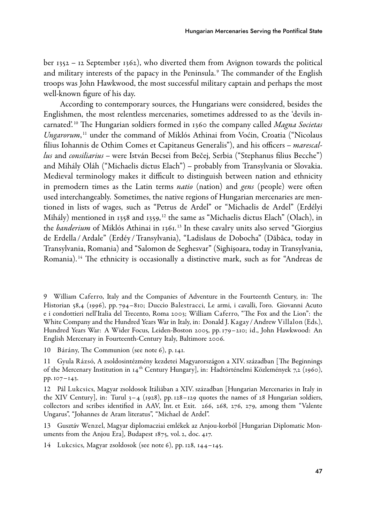ber 1352 – 12 September 1362), who diverted them from Avignon towards the political and military interests of the papacy in the Peninsula. <sup>9</sup> The commander of the English troops was John Hawkwood, the most successful military captain and perhaps the most well-known figure of his day.

According to contemporary sources, the Hungarians were considered, besides the Englishmen, the most relentless mercenaries, sometimes addressed to as the 'devils incarnated'.<sup>10</sup> The Hungarian soldiers formed in 1360 the company called *Magna Societas* Ungarorum, <sup>11</sup> under the command of Miklós Athinai from Voćin, Croatia ("Nicolaus filius Iohannis de Othim Comes et Capitaneus Generalis"), and his officers – marescallus and consiliarius – were István Becsei from Bečej, Serbia ("Stephanus filius Becche") and Mihály Oláh ("Michaelis dictus Elach") – probably from Transylvania or Slovakia. Medieval terminology makes it difficult to distinguish between nation and ethnicity in premodern times as the Latin terms *natio* (nation) and gens (people) were often used interchangeably. Sometimes, the native regions of Hungarian mercenaries are mentioned in lists of wages, such as "Petrus de Ardel" or "Michaelis de Ardel" (Erdélyi Mihály) mentioned in 1358 and 1359, <sup>12</sup> the same as "Michaelis dictus Elach" (Olach), in the *banderium* of Miklós Athinai in 1361.<sup>13</sup> In these cavalry units also served "Giorgius de Erdella /Ardale" (Erdéy /Transylvania), "Ladislaus de Dobocha" (Dăbâca, today in Transylvania, Romania) and "Salomon de Seghesvar" (Sighişoara, today in Transylvania, Romania). <sup>14</sup> The ethnicity is occasionally a distinctive mark, such as for "Andreas de

10 Bárány, The Communion (see note 6), p. 141.

12 Pál Lukcsics, Magyar zsoldosok Itáliában a XIV. században [Hungarian Mercenaries in Italy in the XIV Century], in: Turul  $3-4$  (1928), pp. 128–129 quotes the names of 28 Hungarian soldiers, collectors and scribes identified in AAV, Int. et Exit. 266, 268, 276, 279, among them "Valente Ungarus", "Johannes de Aram literatus", "Michael de Ardel".

13 Gusztáv Wenzel, Magyar diplomacziai emlékek az Anjou-korból [Hungarian Diplomatic Monuments from the Anjou Era], Budapest 1875, vol. 2, doc. 417.

14 Lukcsics, Magyar zsoldosok (see note 6), pp. 128, 144–145.

<sup>9</sup> William Caferro, Italy and the Companies of Adventure in the Fourteenth Century, in: The Historian 58,4 (1996), pp. 794–810; Duccio Balestracci, Le armi, i cavalli, l'oro. Giovanni Acuto e i condottieri nell'Italia del Trecento, Roma 2003; William Caferro, "The Fox and the Lion": the White Company and the Hundred Years War in Italy, in: Donald J. Kagay /Andrew Villalon (Eds.), Hundred Years War: A Wider Focus, Leiden-Boston 2005, pp. 179–210; id., John Hawkwood: An English Mercenary in Fourteenth-Century Italy, Baltimore 2006.

<sup>11</sup> Gyula Rázsó, A zsoldosintézmény kezdetei Magyarországon a XIV. században [The Beginnings of the Mercenary Institution in 14th Century Hungary], in: Hadtörténelmi Közlemények 7,2 (1960), pp. 107–143.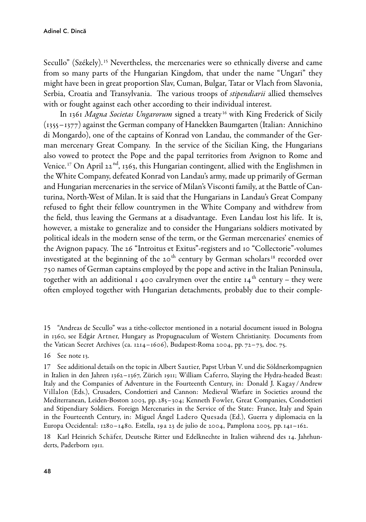Secullo" (Székely). <sup>15</sup> Nevertheless, the mercenaries were so ethnically diverse and came from so many parts of the Hungarian Kingdom, that under the name "Ungari" they might have been in great proportion Slav, Cuman, Bulgar, Tatar or Vlach from Slavonia, Serbia, Croatia and Transylvania. The various troops of stipendiarii allied themselves with or fought against each other according to their individual interest.

In 1361 Magna Societas Ungarorum signed a treaty<sup>16</sup> with King Frederick of Sicily (1355–1377) against the German company of Hanekken Baumgarten (Italian: Annichino di Mongardo), one of the captains of Konrad von Landau, the commander of the German mercenary Great Company. In the service of the Sicilian King, the Hungarians also vowed to protect the Pope and the papal territories from Avignon to Rome and Venice.<sup>17</sup> On April 22<sup>nd</sup>, 1363, this Hungarian contingent, allied with the Englishmen in the White Company, defeated Konrad von Landau's army, made up primarily of German and Hungarian mercenaries in the service of Milan's Visconti family, at the Battle of Canturina, North-West of Milan. It is said that the Hungarians in Landau's Great Company refused to fight their fellow countrymen in the White Company and withdrew from the field, thus leaving the Germans at a disadvantage. Even Landau lost his life. It is, however, a mistake to generalize and to consider the Hungarians soldiers motivated by political ideals in the modern sense of the term, or the German mercenaries' enemies of the Avignon papacy. The 26 "Introitus et Exitus"-registers and 10 "Collectorie"-volumes investigated at the beginning of the 20<sup>th</sup> century by German scholars<sup>18</sup> recorded over 750 names of German captains employed by the pope and active in the Italian Peninsula, together with an additional 1 400 cavalrymen over the entire  $14<sup>th</sup>$  century – they were often employed together with Hungarian detachments, probably due to their comple-

16 See note 13.

17 See additional details on the topic in Albert Sautier, Papst Urban V. und die Söldnerkompagnien in Italien in den Jahren 1362–1367, Zürich 1911; William Caferro, Slaying the Hydra-headed Beast: Italy and the Companies of Adventure in the Fourteenth Century, in: Donald J. Kagay /Andrew Villalon (Eds.), Crusaders, Condottieri and Cannon: Medieval Warfare in Societies around the Mediterranean, Leiden-Boston 2003, pp. 285–304; Kenneth Fowler, Great Companies, Condottieri and Stipendiary Soldiers. Foreign Mercenaries in the Service of the State: France, Italy and Spain in the Fourteenth Century, in: Miguel Ángel Ladero Quesada (Ed.), Guerra y diplomacia en la Europa Occidental: 1280–1480. Estella, 19a 23 de julio de 2004, Pamplona 2005, pp. 141–162.

18 Karl Heinrich Schäfer, Deutsche Ritter und Edelknechte in Italien während des 14. Jahrhunderts, Paderborn 1911.

<sup>15 &</sup>quot;Andreas de Secullo" was a tithe-collector mentioned in a notarial document issued in Bologna in 1360, see Edgár Artner, Hungary as Propugnaculum of Western Christianity. Documents from the Vatican Secret Archives (ca. 1214–1606), Budapest-Roma 2004, pp. 72–73, doc. 75.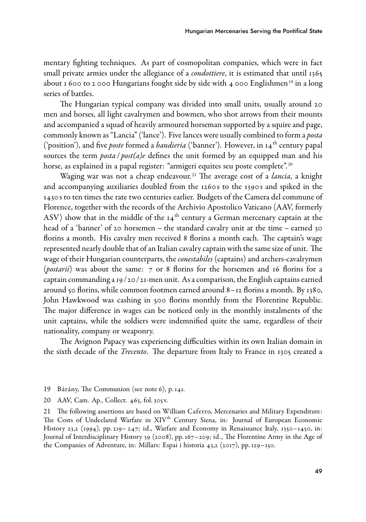mentary fighting techniques. As part of cosmopolitan companies, which were in fact small private armies under the allegiance of a *condottiere*, it is estimated that until 1365 about 1 600 to 2 000 Hungarians fought side by side with 4 000 Englishmen<sup>19</sup> in a long series of battles.

The Hungarian typical company was divided into small units, usually around 20 men and horses, all light cavalrymen and bowmen, who shot arrows from their mounts and accompanied a squad of heavily armoured horseman supported by a squire and page, commonly known as "Lancia" ('lance'). Five lances were usually combined to form a *posta* ('position'), and five *poste* formed a *bandieria* ('banner'). However, in  $14<sup>th</sup>$  century papal sources the term *posta / post(a)e* defines the unit formed by an equipped man and his horse, as explained in a papal register: "armigeri equites seu poste complete".<sup>20</sup>

Waging war was not a cheap endeavour.<sup>21</sup> The average cost of a *lancia*, a knight and accompanying auxiliaries doubled from the 1260s to the 1390s and spiked in the 1430 s to ten times the rate two centuries earlier. Budgets of the Camera del commune of Florence, together with the records of the Archivio Apostolico Vaticano (AAV, formerly ASV) show that in the middle of the  $14<sup>th</sup>$  century a German mercenary captain at the head of a 'banner' of 20 horsemen – the standard cavalry unit at the time – earned 30 florins a month. His cavalry men received 8 florins a month each. The captain's wage represented nearly double that of an Italian cavalry captain with the same size of unit. The wage of their Hungarian counterparts, the *conestabiles* (captains) and archers-cavalrymen (*postarii*) was about the same: 7 or 8 florins for the horsemen and 16 florins for a captain commanding a 19/20/21-men unit. As a comparison, the English captains earned around 50 florins, while common footmen earned around  $8 - 12$  florins a month. By 1380, John Hawkwood was cashing in 500 florins monthly from the Florentine Republic. The major difference in wages can be noticed only in the monthly instalments of the unit captains, while the soldiers were indemnified quite the same, regardless of their nationality, company or weaponry.

The Avignon Papacy was experiencing difficulties within its own Italian domain in the sixth decade of the *Trecento*. The departure from Italy to France in 1305 created a

- 19 Bárány, The Communion (see note 6), p. 141.
- 20 AAV, Cam. Ap., Collect. 463, fol. 305v.

21 The following assertions are based on William Caferro, Mercenaries and Military Expenditure: The Costs of Undeclared Warfare in XIV<sup>th</sup> Century Siena, in: Journal of European Economic History 23,2 (1994), pp. 219– 247; id., Warfare and Economy in Renaissance Italy, 1350–1450, in: Journal of Interdisciplinary History 39 (2008), pp. 167–209; id., The Florentine Army in the Age of the Companies of Adventure, in: Millars: Espai i historia 43,2 (2017), pp. 129–150.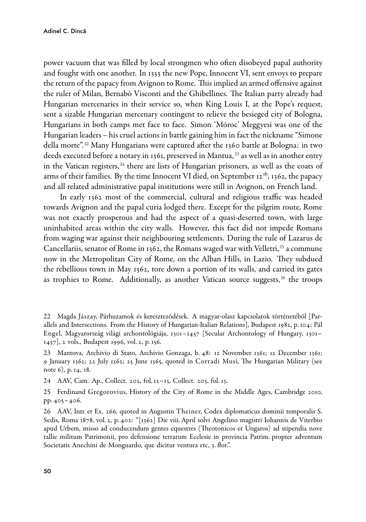power vacuum that was filled by local strongmen who often disobeyed papal authority and fought with one another. In 1353 the new Pope, Innocent VI, sent envoys to prepare the return of the papacy from Avignon to Rome. This implied an armed offensive against the ruler of Milan, Bernabò Visconti and the Ghibellines. The Italian party already had Hungarian mercenaries in their service so, when King Louis I, at the Pope's request, sent a sizable Hungarian mercenary contingent to relieve the besieged city of Bologna, Hungarians in both camps met face to face. Simon 'Móroc' Meggyesi was one of the Hungarian leaders – his cruel actions in battle gaining him in fact the nickname "Simone della morte". <sup>22</sup> Many Hungarians were captured after the 1360 battle at Bologna: in two deeds executed before a notary in 1361, preserved in Mantua, <sup>23</sup> as well as in another entry in the Vatican registers,  $24$  there are lists of Hungarian prisoners, as well as the coats of arms of their families. By the time Innocent VI died, on September 12<sup>th</sup>, 1362, the papacy and all related administrative papal institutions were still in Avignon, on French land.

In early 1362 most of the commercial, cultural and religious traffic was headed towards Avignon and the papal curia lodged there. Except for the pilgrim route, Rome was not exactly prosperous and had the aspect of a quasi-deserted town, with large uninhabited areas within the city walls. However, this fact did not impede Romans from waging war against their neighbouring settlements. During the rule of Lazarus de Cancellariis, senator of Rome in 1362, the Romans waged war with Velletri,<sup>25</sup> a commune now in the Metropolitan City of Rome, on the Alban Hills, in Lazio. They subdued the rebellious town in May 1362, tore down a portion of its walls, and carried its gates as trophies to Rome. Additionally, as another Vatican source suggests,<sup>26</sup> the troops

<sup>22</sup> Magda Jászay, Párhuzamok és kereszteződések. A magyar-olasz kapcsolatok történetéből [Parallels and Intersections. From the History of Hungarian-Italian Relations], Budapest 1982, p. 104; Pál Engel, Magyarország világi archontológiája, 1301–1457 [Secular Archontology of Hungary, 1301– 1457], 2 vols., Budapest 1996, vol. 2, p. 156.

<sup>23</sup> Mantova, Archivio di Stato, Archivio Gonzaga, b. 48: 12 November 1361; 12 December 1361; 9 January 1362; 22 July 1362; 25 June 1365, quoted in Corradi Musi, The Hungarian Military (see note 6), p. 14, 18.

<sup>24</sup> AAV, Cam. Ap., Collect. 202, fol. 12–13, Collect. 203, fol. 13.

<sup>25</sup> Ferdinand Gregorovius, History of the City of Rome in the Middle Ages, Cambridge 2010, pp. 405–406.

<sup>26</sup> AAV, Intr. et Ex. 266, quoted in Augustin Theiner, Codex diplomaticus dominii temporalis S. Sedis, Roma 1878, vol. 2, p. 402: "[1362] Die viii. April solvi Angelino magistri Iohannis de Viterbio apud Urbem, misso ad conducendum gentes equestres (Theotonicos et Ungaros) ad stipendia nove tallie militum Patrimonii, pro defensione terrarum Ecclesie in provincia Patrim. propter adventum Societatis Anechini de Monguardo, que dicitur ventura etc, 3. flor.".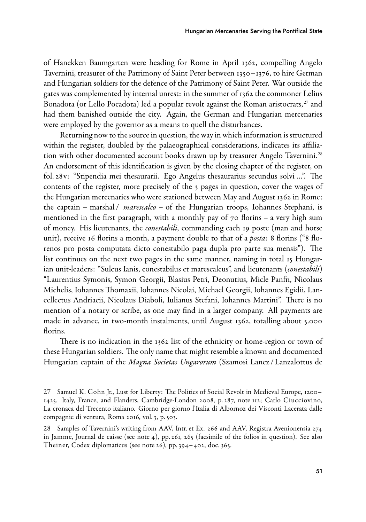of Hanekken Baumgarten were heading for Rome in April 1362, compelling Angelo Tavernini, treasurer of the Patrimony of Saint Peter between 1350–1376, to hire German and Hungarian soldiers for the defence of the Patrimony of Saint Peter. War outside the gates was complemented by internal unrest: in the summer of 1362 the commoner Lelius Bonadota (or Lello Pocadota) led a popular revolt against the Roman aristocrats,  $27$  and had them banished outside the city. Again, the German and Hungarian mercenaries were employed by the governor as a means to quell the disturbances.

Returning now to the source in question, the way in which information is structured within the register, doubled by the palaeographical considerations, indicates its affiliation with other documented account books drawn up by treasurer Angelo Tavernini.<sup>28</sup> An endorsement of this identification is given by the closing chapter of the register, on fol. 28v: "Stipendia mei thesaurarii. Ego Angelus thesaurarius secundus solvi …". The contents of the register, more precisely of the 3 pages in question, cover the wages of the Hungarian mercenaries who were stationed between May and August 1362 in Rome: the captain – marshal /  $marescalco$  – of the Hungarian troops, Iohannes Stephani, is mentioned in the first paragraph, with a monthly pay of  $70$  florins – a very high sum of money. His lieutenants, the *conestabili*, commanding each 19 poste (man and horse unit), receive 16 florins a month, a payment double to that of a *posta*: 8 florins ("8 florenos pro posta computata dicto conestabilo paga dupla pro parte sua mensis"). The list continues on the next two pages in the same manner, naming in total 15 Hungarian unit-leaders: "Sulcus Ianis, conestabilus et marescalcus", and lieutenants (conestabili) "Laurentius Symonis, Symon Georgii, Blasius Petri, Deonutius, Micle Panfn, Nicolaus Michelis, Iohannes Thomaxii, Iohannes Nicolai, Michael Georgii, Iohannes Egidii, Lancellectus Andriacii, Nicolaus Diaboli, Iulianus Stefani, Iohannes Martini". There is no mention of a notary or scribe, as one may find in a larger company. All payments are made in advance, in two-month instalments, until August 1362, totalling about 5.000 florins.

There is no indication in the 1362 list of the ethnicity or home-region or town of these Hungarian soldiers. The only name that might resemble a known and documented Hungarian captain of the *Magna Societas Ungarorum* (Szamosi Lancz / Lanzalottus de

<sup>27</sup> Samuel K. Cohn Jr., Lust for Liberty: The Politics of Social Revolt in Medieval Europe, 1200– 1425. Italy, France, and Flanders, CambridgeLondon 2008, p. 287, note 112; Carlo Ciucciovino, La cronaca del Trecento italiano. Giorno per giorno l'Italia di Albornoz dei Visconti Lacerata dalle compagnie di ventura, Roma 2016, vol. 3, p. 503.

<sup>28</sup> Samples of Tavernini's writing from AAV, Intr. et Ex. 266 and AAV, Registra Avenionensia 274 in Jamme, Journal de caisse (see note 4), pp. 261, 265 (facsimile of the folios in question). See also Theiner, Codex diplomaticus (see note 26), pp. 394–402, doc. 365.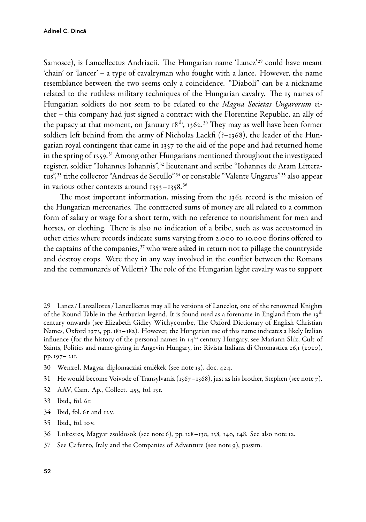Samosce), is Lancellectus Andriacii. The Hungarian name 'Lancz'<sup>29</sup> could have meant 'chain' or 'lancer' – a type of cavalryman who fought with a lance. However, the name resemblance between the two seems only a coincidence. "Diaboli" can be a nickname related to the ruthless military techniques of the Hungarian cavalry. The 15 names of Hungarian soldiers do not seem to be related to the Magna Societas Ungarorum either – this company had just signed a contract with the Florentine Republic, an ally of the papacy at that moment, on January  $18<sup>th</sup>$ ,  $1362<sup>30</sup>$  They may as well have been former soldiers left behind from the army of Nicholas Lackfi (?–1368), the leader of the Hungarian royal contingent that came in 1357 to the aid of the pope and had returned home in the spring of 1359. <sup>31</sup> Among other Hungarians mentioned throughout the investigated register, soldier "Iohannes Iohannis", <sup>32</sup> lieutenant and scribe "Iohannes de Aram Litteratus", <sup>33</sup> tithe collector "Andreas de Secullo" <sup>34</sup> or constable "Valente Ungarus" <sup>35</sup> also appear in various other contexts around 1353–1358. <sup>36</sup>

The most important information, missing from the 1362 record is the mission of the Hungarian mercenaries. The contracted sums of money are all related to a common form of salary or wage for a short term, with no reference to nourishment for men and horses, or clothing. There is also no indication of a bribe, such as was accustomed in other cities where records indicate sums varying from 2.000 to 10.000 florins offered to the captains of the companies, $37$  who were asked in return not to pillage the countryside and destroy crops. Were they in any way involved in the conflict between the Romans and the communards of Velletri? The role of the Hungarian light cavalry was to support

29 Lancz / Lanzallotus / Lancellectus may all be versions of Lancelot, one of the renowned Knights of the Round Table in the Arthurian legend. It is found used as a forename in England from the  $13<sup>th</sup>$ century onwards (see Elizabeth Gidley Withycombe, The Oxford Dictionary of English Christian Names, Oxford 1973, pp. 181–182). However, the Hungarian use of this name indicates a likely Italian influence (for the history of the personal names in  $14<sup>th</sup>$  century Hungary, see Mariann Slíz, Cult of Saints, Politics and name-giving in Angevin Hungary, in: Rivista Italiana di Onomastica 26,1 (2020), pp. 197– 211.

- 30 Wenzel, Magyar diplomacziai emlékek (see note 13), doc. 424.
- 31 He would become Voivode of Transylvania (1367–1368), just as his brother, Stephen (see note 7).
- 32 AAV, Cam. Ap., Collect. 455, fol. 13r.
- 33 Ibid., fol. 6r.
- 34 Ibid, fol. 6r and 12v.
- 35 Ibid., fol. 10v.
- 36 Lukcsics, Magyar zsoldosok (see note 6), pp. 128–130, 138, 140, 148. See also note 12.
- 37 See Caferro, Italy and the Companies of Adventure (see note 9), passim.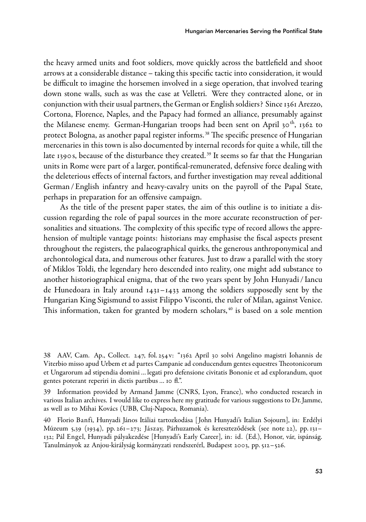the heavy armed units and foot soldiers, move quickly across the battlefield and shoot arrows at a considerable distance – taking this specific tactic into consideration, it would be difficult to imagine the horsemen involved in a siege operation, that involved tearing down stone walls, such as was the case at Velletri. Were they contracted alone, or in conjunction with their usual partners, the German or English soldiers? Since 1361 Arezzo, Cortona, Florence, Naples, and the Papacy had formed an alliance, presumably against the Milanese enemy. German-Hungarian troops had been sent on April 30<sup>th</sup>, 1362 to protect Bologna, as another papal register informs. <sup>38</sup> The specific presence of Hungarian mercenaries in this town is also documented by internal records for quite a while, till the late 1390s, because of the disturbance they created.<sup>39</sup> It seems so far that the Hungarian units in Rome were part of a larger, pontifical-remunerated, defensive force dealing with the deleterious effects of internal factors, and further investigation may reveal additional German / English infantry and heavy-cavalry units on the payroll of the Papal State, perhaps in preparation for an offensive campaign.

As the title of the present paper states, the aim of this outline is to initiate a discussion regarding the role of papal sources in the more accurate reconstruction of personalities and situations. The complexity of this specific type of record allows the apprehension of multiple vantage points: historians may emphasise the fiscal aspects present throughout the registers, the palaeographical quirks, the generous anthroponymical and archontological data, and numerous other features. Just to draw a parallel with the story of Miklos Toldi, the legendary hero descended into reality, one might add substance to another historiographical enigma, that of the two years spent by John Hunyadi / Iancu de Hunedoara in Italy around 1431–1433 among the soldiers supposedly sent by the Hungarian King Sigismund to assist Filippo Visconti, the ruler of Milan, against Venice. This information, taken for granted by modern scholars, $40$  is based on a sole mention

<sup>38</sup> AAV, Cam. Ap., Collect. 247, fol. 254v: "1362 April 30 solvi Angelino magistri Iohannis de Viterbio misso apud Urbem et ad partes Campanie ad conducendum gentes equestres Theotonicorum et Ungarorum ad stipendia domini … legati pro defensione civitatis Bononie et ad explorandum, quot gentes poterant reperiri in dictis partibus … 10 fl.".

<sup>39</sup> Information provided by Armand Jamme (CNRS, Lyon, France), who conducted research in various Italian archives. I would like to express here my gratitude for various suggestions to Dr. Jamme, as well as to Mihai Kovács (UBB, Cluj-Napoca, Romania).

<sup>40</sup> Florio Banfi, Hunyadi János Itáliai tartozkodása [ John Hunyadi's Italian Sojourn], in: Erdélyi Múzeum 5,39 (1934), pp. 261–273; Jászay, Párhuzamok és kereszteződések (see note 22), pp. 131– 132; Pál Engel, Hunyadi pályakezdése [Hunyadi's Early Career], in: id. (Ed.), Honor, vár, ispánság. Tanulmányok az Anjou-királyság kormányzati rendszerérl, Budapest 2003, pp. 512–526.